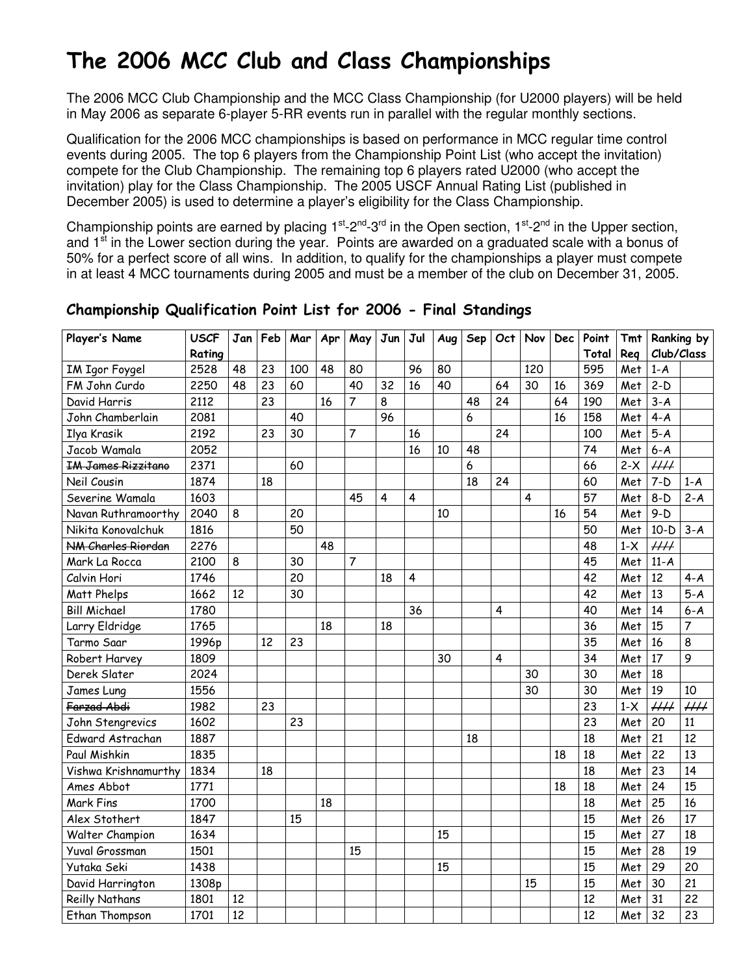# The 2006 MCC Club and Class Championships

The 2006 MCC Club Championship and the MCC Class Championship (for U2000 players) will be held in May 2006 as separate 6-player 5-RR events run in parallel with the regular monthly sections.

Qualification for the 2006 MCC championships is based on performance in MCC regular time control events during 2005. The top 6 players from the Championship Point List (who accept the invitation) compete for the Club Championship. The remaining top 6 players rated U2000 (who accept the invitation) play for the Class Championship. The 2005 USCF Annual Rating List (published in December 2005) is used to determine a player's eligibility for the Class Championship.

Championship points are earned by placing  $1^{st}$ -2<sup>nd</sup>-3<sup>rd</sup> in the Open section,  $1^{st}$ -2<sup>nd</sup> in the Upper section, and 1<sup>st</sup> in the Lower section during the year. Points are awarded on a graduated scale with a bonus of 50% for a perfect score of all wins. In addition, to qualify for the championships a player must compete in at least 4 MCC tournaments during 2005 and must be a member of the club on December 31, 2005.

| Player's Name             | <b>USCF</b> | Jan | Feb | Mar | Apr | May            | Jun | Jul                     | Aug | Sep | Oct                     | Nov | <b>Dec</b> | Point | Tmt   |                          | Ranking by               |
|---------------------------|-------------|-----|-----|-----|-----|----------------|-----|-------------------------|-----|-----|-------------------------|-----|------------|-------|-------|--------------------------|--------------------------|
|                           | Rating      |     |     |     |     |                |     |                         |     |     |                         |     |            | Total | Reg   | Club/Class               |                          |
| IM Igor Foygel            | 2528        | 48  | 23  | 100 | 48  | 80             |     | 96                      | 80  |     |                         | 120 |            | 595   | Met   | $1-A$                    |                          |
| FM John Curdo             | 2250        | 48  | 23  | 60  |     | 40             | 32  | 16                      | 40  |     | 64                      | 30  | 16         | 369   | Met   | $2-D$                    |                          |
| David Harris              | 2112        |     | 23  |     | 16  | $\overline{7}$ | 8   |                         |     | 48  | 24                      |     | 64         | 190   | Met   | $3 - A$                  |                          |
| John Chamberlain          | 2081        |     |     | 40  |     |                | 96  |                         |     | 6   |                         |     | 16         | 158   | Met   | $4 - A$                  |                          |
| Ilya Krasik               | 2192        |     | 23  | 30  |     | $\overline{7}$ |     | 16                      |     |     | 24                      |     |            | 100   | Met   | $5-A$                    |                          |
| Jacob Wamala              | 2052        |     |     |     |     |                |     | 16                      | 10  | 48  |                         |     |            | 74    | Met   | $6 - A$                  |                          |
| <b>IM James Rizzitano</b> | 2371        |     |     | 60  |     |                |     |                         |     | 6   |                         |     |            | 66    | $2-X$ | $\overline{HH}$          |                          |
| Neil Cousin               | 1874        |     | 18  |     |     |                |     |                         |     | 18  | 24                      |     |            | 60    | Met   | $7-D$                    | $1-A$                    |
| Severine Wamala           | 1603        |     |     |     |     | 45             | 4   | 4                       |     |     |                         | 4   |            | 57    | Met   | $8-D$                    | $2-A$                    |
| Navan Ruthramoorthy       | 2040        | 8   |     | 20  |     |                |     |                         | 10  |     |                         |     | 16         | 54    | Met   | $9-D$                    |                          |
| Nikita Konovalchuk        | 1816        |     |     | 50  |     |                |     |                         |     |     |                         |     |            | 50    | Met   | $10-D$                   | $3-A$                    |
| NM Charles Riordan        | 2276        |     |     |     | 48  |                |     |                         |     |     |                         |     |            | 48    | $1-X$ | $\overline{HH}$          |                          |
| Mark La Rocca             | 2100        | 8   |     | 30  |     | $\overline{7}$ |     |                         |     |     |                         |     |            | 45    | Met   | $11-A$                   |                          |
| Calvin Hori               | 1746        |     |     | 20  |     |                | 18  | $\overline{\mathbf{4}}$ |     |     |                         |     |            | 42    | Met   | 12                       | $4 - A$                  |
| Matt Phelps               | 1662        | 12  |     | 30  |     |                |     |                         |     |     |                         |     |            | 42    | Met   | 13                       | $5-A$                    |
| <b>Bill Michael</b>       | 1780        |     |     |     |     |                |     | 36                      |     |     | $\overline{\mathbf{4}}$ |     |            | 40    | Met   | 14                       | $6 - A$                  |
| Larry Eldridge            | 1765        |     |     |     | 18  |                | 18  |                         |     |     |                         |     |            | 36    | Met   | 15                       | $\overline{7}$           |
| Tarmo Saar                | 1996p       |     | 12  | 23  |     |                |     |                         |     |     |                         |     |            | 35    | Met   | 16                       | 8                        |
| Robert Harvey             | 1809        |     |     |     |     |                |     |                         | 30  |     | 4                       |     |            | 34    | Met   | 17                       | 9                        |
| Derek Slater              | 2024        |     |     |     |     |                |     |                         |     |     |                         | 30  |            | 30    | Met   | 18                       |                          |
| James Lung                | 1556        |     |     |     |     |                |     |                         |     |     |                         | 30  |            | 30    | Met   | 19                       | 10                       |
| Farzad Abdi               | 1982        |     | 23  |     |     |                |     |                         |     |     |                         |     |            | 23    | $1-X$ | $\mathcal{H}\mathcal{H}$ | $\mathcal{H}\mathcal{H}$ |
| John Stengrevics          | 1602        |     |     | 23  |     |                |     |                         |     |     |                         |     |            | 23    | Met   | 20                       | 11                       |
| Edward Astrachan          | 1887        |     |     |     |     |                |     |                         |     | 18  |                         |     |            | 18    | Met   | 21                       | 12                       |
| Paul Mishkin              | 1835        |     |     |     |     |                |     |                         |     |     |                         |     | 18         | 18    | Met   | 22                       | 13                       |
| Vishwa Krishnamurthy      | 1834        |     | 18  |     |     |                |     |                         |     |     |                         |     |            | 18    | Met   | 23                       | 14                       |
| Ames Abbot                | 1771        |     |     |     |     |                |     |                         |     |     |                         |     | 18         | 18    | Met   | 24                       | 15                       |
| Mark Fins                 | 1700        |     |     |     | 18  |                |     |                         |     |     |                         |     |            | 18    | Met   | 25                       | 16                       |
| Alex Stothert             | 1847        |     |     | 15  |     |                |     |                         |     |     |                         |     |            | 15    | Met   | 26                       | 17                       |
| Walter Champion           | 1634        |     |     |     |     |                |     |                         | 15  |     |                         |     |            | 15    | Met   | 27                       | 18                       |
| Yuval Grossman            | 1501        |     |     |     |     | 15             |     |                         |     |     |                         |     |            | 15    | Met   | 28                       | 19                       |
| Yutaka Seki               | 1438        |     |     |     |     |                |     |                         | 15  |     |                         |     |            | 15    | Met   | 29                       | 20                       |
| David Harrington          | 1308p       |     |     |     |     |                |     |                         |     |     |                         | 15  |            | 15    | Met   | 30                       | 21                       |
| <b>Reilly Nathans</b>     | 1801        | 12  |     |     |     |                |     |                         |     |     |                         |     |            | 12    | Met   | 31                       | 22                       |
| Ethan Thompson            | 1701        | 12  |     |     |     |                |     |                         |     |     |                         |     |            | 12    | Met   | 32                       | 23                       |

### Championship Qualification Point List for 2006 - Final Standings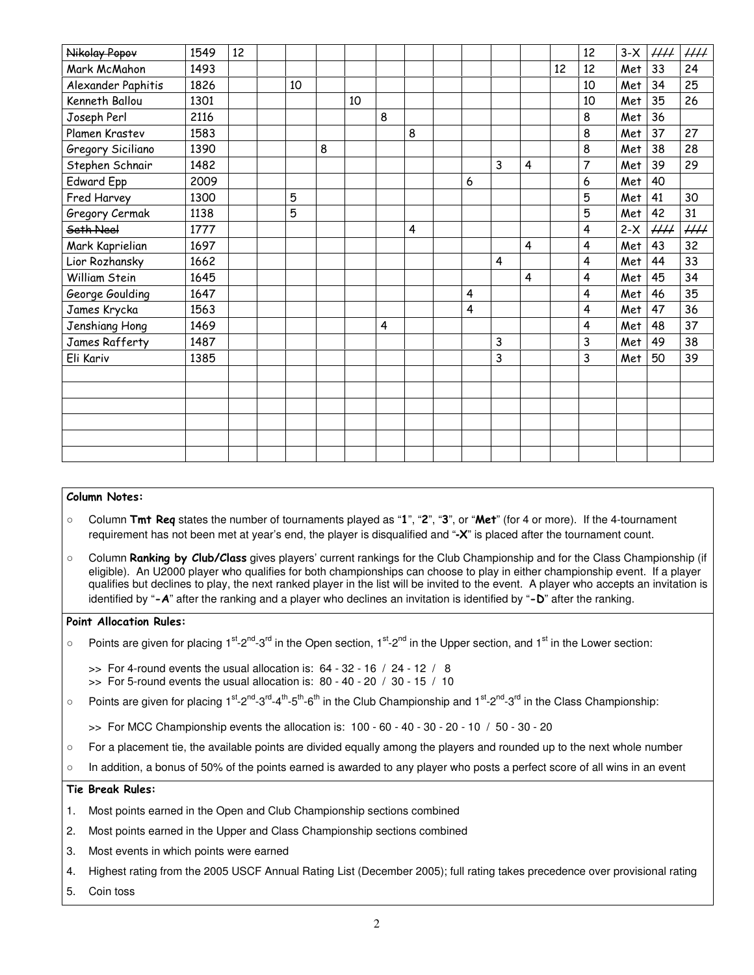| Nikolay Popov      | 1549 | 12 |    |   |    |   |   |                         |   |                |    | 12 | $3-X$ | HH       | $\mathcal{H}\mathcal{H}$ |
|--------------------|------|----|----|---|----|---|---|-------------------------|---|----------------|----|----|-------|----------|--------------------------|
| Mark McMahon       | 1493 |    |    |   |    |   |   |                         |   |                | 12 | 12 | Met   | 33       | 24                       |
| Alexander Paphitis | 1826 |    | 10 |   |    |   |   |                         |   |                |    | 10 | Met   | 34       | 25                       |
| Kenneth Ballou     | 1301 |    |    |   | 10 |   |   |                         |   |                |    | 10 | Met   | 35       | 26                       |
| Joseph Perl        | 2116 |    |    |   |    | 8 |   |                         |   |                |    | 8  | Met   | 36       |                          |
| Plamen Krastev     | 1583 |    |    |   |    |   | 8 |                         |   |                |    | 8  | Met   | 37       | 27                       |
| Gregory Siciliano  | 1390 |    |    | 8 |    |   |   |                         |   |                |    | 8  | Met   | 38       | 28                       |
| Stephen Schnair    | 1482 |    |    |   |    |   |   |                         | 3 | $\overline{4}$ |    | 7  | Met   | 39       | 29                       |
| <b>Edward Epp</b>  | 2009 |    |    |   |    |   |   | 6                       |   |                |    | 6  | Met   | 40       |                          |
| Fred Harvey        | 1300 |    | 5  |   |    |   |   |                         |   |                |    | 5  | Met   | 41       | 30                       |
| Gregory Cermak     | 1138 |    | 5  |   |    |   |   |                         |   |                |    | 5  | Met   | 42       | 31                       |
| Seth Neel          | 1777 |    |    |   |    |   | 4 |                         |   |                |    | 4  | $2-X$ | $\mu\mu$ | $\mu\mu$                 |
| Mark Kaprielian    | 1697 |    |    |   |    |   |   |                         |   | 4              |    | 4  | Met   | 43       | 32                       |
| Lior Rozhansky     | 1662 |    |    |   |    |   |   |                         | 4 |                |    | 4  | Met   | 44       | 33                       |
| William Stein      | 1645 |    |    |   |    |   |   |                         |   | 4              |    | 4  | Met   | 45       | 34                       |
| George Goulding    | 1647 |    |    |   |    |   |   | $\overline{\mathbf{4}}$ |   |                |    | 4  | Met   | 46       | 35                       |
| James Krycka       | 1563 |    |    |   |    |   |   | $\overline{\mathbf{4}}$ |   |                |    | 4  | Met   | 47       | 36                       |
| Jenshiang Hong     | 1469 |    |    |   |    | 4 |   |                         |   |                |    | 4  | Met   | 48       | 37                       |
| James Rafferty     | 1487 |    |    |   |    |   |   |                         | 3 |                |    | 3  | Met   | 49       | 38                       |
| Eli Kariv          | 1385 |    |    |   |    |   |   |                         | 3 |                |    | 3  | Met   | 50       | 39                       |
|                    |      |    |    |   |    |   |   |                         |   |                |    |    |       |          |                          |
|                    |      |    |    |   |    |   |   |                         |   |                |    |    |       |          |                          |
|                    |      |    |    |   |    |   |   |                         |   |                |    |    |       |          |                          |
|                    |      |    |    |   |    |   |   |                         |   |                |    |    |       |          |                          |
|                    |      |    |    |   |    |   |   |                         |   |                |    |    |       |          |                          |
|                    |      |    |    |   |    |   |   |                         |   |                |    |    |       |          |                          |

#### Column Notes:

- Column Tmt Req states the number of tournaments played as "1", "2", "3", or "Met" (for 4 or more). If the 4-tournament requirement has not been met at year's end, the player is disqualified and "**-**X" is placed after the tournament count.
- Column **Ranking by Club/Class** gives players' current rankings for the Club Championship and for the Class Championship (if eligible). An U2000 player who qualifies for both championships can choose to play in either championship event. If a player qualifies but declines to play, the next ranked player in the list will be invited to the event. A player who accepts an invitation is identified by "-A" after the ranking and a player who declines an invitation is identified by "-D" after the ranking.

#### Point Allocation Rules:

- Points are given for placing  $1^{st}$ -2<sup>nd</sup>-3<sup>rd</sup> in the Open section,  $1^{st}$ -2<sup>nd</sup> in the Upper section, and  $1^{st}$  in the Lower section:
	- $\gg$  For 4-round events the usual allocation is: 64 32 16 / 24 12 / 8
	- $\gg$  For 5-round events the usual allocation is: 80 40 20 / 30 15 / 10
- Points are given for placing 1<sup>st</sup>-2<sup>nd</sup>-3<sup>rd</sup>-4<sup>th</sup>-5<sup>th</sup>-6<sup>th</sup> in the Club Championship and 1<sup>st</sup>-2<sup>nd</sup>-3<sup>rd</sup> in the Class Championship:
	- >> For MCC Championship events the allocation is: 100 60 40 30 20 10 / 50 30 20
- For a placement tie, the available points are divided equally among the players and rounded up to the next whole number
- In addition, a bonus of 50% of the points earned is awarded to any player who posts a perfect score of all wins in an event

#### Tie Break Rules:

- 1. Most points earned in the Open and Club Championship sections combined
- 2. Most points earned in the Upper and Class Championship sections combined
- 3. Most events in which points were earned
- 4. Highest rating from the 2005 USCF Annual Rating List (December 2005); full rating takes precedence over provisional rating
- 5. Coin toss